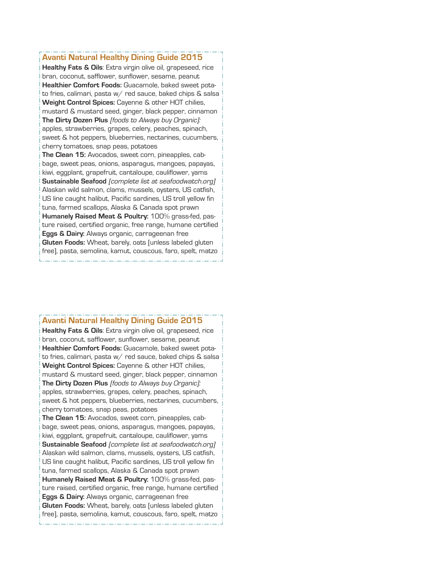## **Avanti Natural Healthy Dining Guide 2015**

**Healthy Fats & Oils**: Extra virgin olive oil, grapeseed, rice bran, coconut, safflower, sunflower, sesame, peanut **Healthier Comfort Foods:** Guacamole, baked sweet potato fries, calimari, pasta w/ red sauce, baked chips & salsa **Weight Control Spices:** Cayenne & other HOT chilies, mustard & mustard seed, ginger, black pepper, cinnamon **The Dirty Dozen Plus** [foods to Always buy Organic]: apples, strawberries, grapes, celery, peaches, spinach, sweet & hot peppers, blueberries, nectarines, cucumbers, cherry tomatoes, snap peas, potatoes **The Clean 15:** Avocados, sweet corn, pineapples, cabbage, sweet peas, onions, asparagus, mangoes, papayas, kiwi, eggplant, grapefruit, cantaloupe, cauliflower, yams **Sustainable Seafood** [complete list at seafoodwatch.org] Alaskan wild salmon, clams, mussels, oysters, US catfish, US line caught halibut, Pacific sardines, US troll yellow fin tuna, farmed scallops, Alaska & Canada spot prawn **Humanely Raised Meat & Poultry:** 100% grass-fed, pasture raised, certified organic, free range, humane certified **Eggs & Dairy:** Always organic, carrageenan free **Gluten Foods:** Wheat, barely, oats [unless labeled gluten free], pasta, semolina, kamut, couscous, faro, spelt, matzo

## **Avanti Natural Healthy Dining Guide 2015**

**Healthy Fats & Oils**: Extra virgin olive oil, grapeseed, rice bran, coconut, safflower, sunflower, sesame, peanut **Healthier Comfort Foods:** Guacamole, baked sweet potato fries, calimari, pasta w/ red sauce, baked chips & salsa **Weight Control Spices:** Cayenne & other HOT chilies, mustard & mustard seed, ginger, black pepper, cinnamon **The Dirty Dozen Plus** [foods to Always buy Organic]: apples, strawberries, grapes, celery, peaches, spinach, sweet & hot peppers, blueberries, nectarines, cucumbers, cherry tomatoes, snap peas, potatoes **The Clean 15:** Avocados, sweet corn, pineapples, cabbage, sweet peas, onions, asparagus, mangoes, papayas, kiwi, eggplant, grapefruit, cantaloupe, cauliflower, yams **Sustainable Seafood** [complete list at seafoodwatch.org] Alaskan wild salmon, clams, mussels, oysters, US catfish, US line caught halibut, Pacific sardines, US troll yellow fin

tuna, farmed scallops, Alaska & Canada spot prawn **Humanely Raised Meat & Poultry:** 100% grass-fed, pasture raised, certified organic, free range, humane certified **Eggs & Dairy:** Always organic, carrageenan free **Gluten Foods:** Wheat, barely, oats [unless labeled gluten free], pasta, semolina, kamut, couscous, faro, spelt, matzo